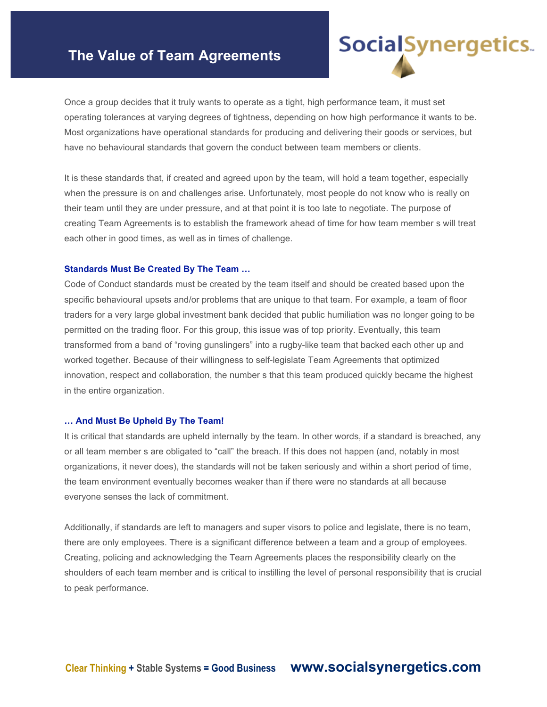# **The Value of Team Agreements**

Once a group decides that it truly wants to operate as a tight, high performance team, it must set operating tolerances at varying degrees of tightness, depending on how high performance it wants to be. Most organizations have operational standards for producing and delivering their goods or services, but have no behavioural standards that govern the conduct between team members or clients.

**Social**Synergetics.

It is these standards that, if created and agreed upon by the team, will hold a team together, especially when the pressure is on and challenges arise. Unfortunately, most people do not know who is really on their team until they are under pressure, and at that point it is too late to negotiate. The purpose of creating Team Agreements is to establish the framework ahead of time for how team member s will treat each other in good times, as well as in times of challenge.

#### **Standards Must Be Created By The Team …**

Code of Conduct standards must be created by the team itself and should be created based upon the specific behavioural upsets and/or problems that are unique to that team. For example, a team of floor traders for a very large global investment bank decided that public humiliation was no longer going to be permitted on the trading floor. For this group, this issue was of top priority. Eventually, this team transformed from a band of "roving gunslingers" into a rugby-like team that backed each other up and worked together. Because of their willingness to self-legislate Team Agreements that optimized innovation, respect and collaboration, the number s that this team produced quickly became the highest in the entire organization.

#### **… And Must Be Upheld By The Team!**

It is critical that standards are upheld internally by the team. In other words, if a standard is breached, any or all team member s are obligated to "call" the breach. If this does not happen (and, notably in most organizations, it never does), the standards will not be taken seriously and within a short period of time, the team environment eventually becomes weaker than if there were no standards at all because everyone senses the lack of commitment.

Additionally, if standards are left to managers and super visors to police and legislate, there is no team, there are only employees. There is a significant difference between a team and a group of employees. Creating, policing and acknowledging the Team Agreements places the responsibility clearly on the shoulders of each team member and is critical to instilling the level of personal responsibility that is crucial to peak performance.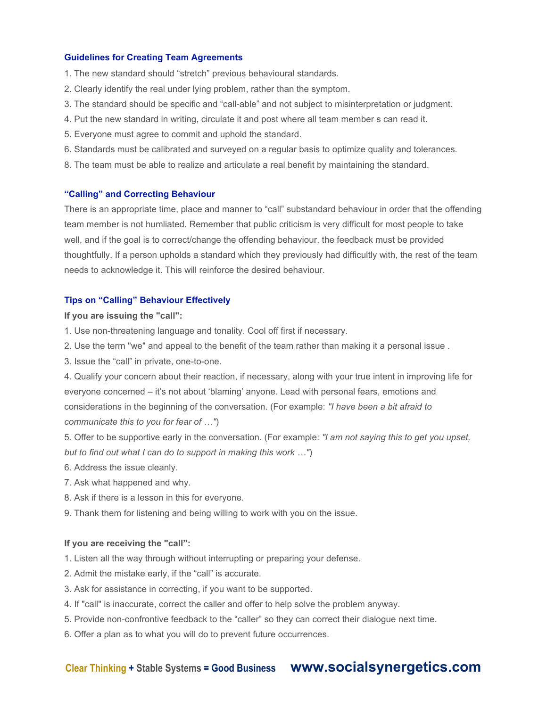#### **Guidelines for Creating Team Agreements**

- 1. The new standard should "stretch" previous behavioural standards.
- 2. Clearly identify the real under lying problem, rather than the symptom.
- 3. The standard should be specific and "call-able" and not subject to misinterpretation or judgment.
- 4. Put the new standard in writing, circulate it and post where all team member s can read it.
- 5. Everyone must agree to commit and uphold the standard.
- 6. Standards must be calibrated and surveyed on a regular basis to optimize quality and tolerances.
- 8. The team must be able to realize and articulate a real benefit by maintaining the standard.

#### **"Calling" and Correcting Behaviour**

There is an appropriate time, place and manner to "call" substandard behaviour in order that the offending team member is not humliated. Remember that public criticism is very difficult for most people to take well, and if the goal is to correct/change the offending behaviour, the feedback must be provided thoughtfully. If a person upholds a standard which they previously had difficultly with, the rest of the team needs to acknowledge it. This will reinforce the desired behaviour.

## **Tips on "Calling" Behaviour Effectively**

#### **If you are issuing the "call":**

- 1. Use non-threatening language and tonality. Cool off first if necessary.
- 2. Use the term "we" and appeal to the benefit of the team rather than making it a personal issue .
- 3. Issue the "call" in private, one-to-one.

4. Qualify your concern about their reaction, if necessary, along with your true intent in improving life for everyone concerned – it's not about 'blaming' anyone. Lead with personal fears, emotions and considerations in the beginning of the conversation. (For example: *"I have been a bit afraid to communicate this to you for fear of …"*)

5. Offer to be supportive early in the conversation. (For example: *"I am not saying this to get you upset, but to find out what I can do to support in making this work …"*)

- 6. Address the issue cleanly.
- 7. Ask what happened and why.
- 8. Ask if there is a lesson in this for everyone.
- 9. Thank them for listening and being willing to work with you on the issue.

#### **If you are receiving the "call":**

- 1. Listen all the way through without interrupting or preparing your defense.
- 2. Admit the mistake early, if the "call" is accurate.
- 3. Ask for assistance in correcting, if you want to be supported.
- 4. If "call" is inaccurate, correct the caller and offer to help solve the problem anyway.
- 5. Provide non-confrontive feedback to the "caller" so they can correct their dialogue next time.
- 6. Offer a plan as to what you will do to prevent future occurrences.

# **Clear Thinking + Stable Systems = Good Business www.socialsynergetics.com**